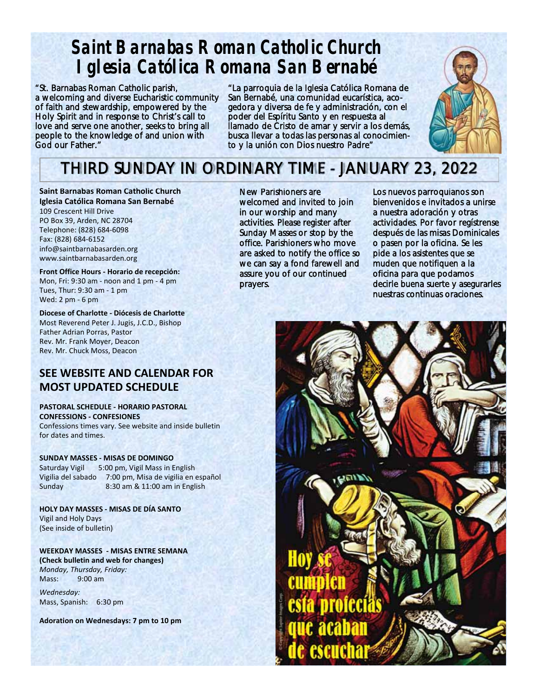# **Saint Barnabas Roman Catholic Church Iglesia Católica Romana San Bernabé**

"St. Barnabas Roman Catholic parish, a welcoming and diverse Eucharistic community of faith and stewardship, empowered by the Holy Spirit and in response to Christ's call to love and serve one another, seeks to bring all people to the knowledge of and union with God our Father."

"La parroquia de la Iglesia Católica Romana de San Bernabé, una comunidad eucarística, acogedora y diversa de fe y administración, con el poder del Espíritu Santo y en respuesta al llamado de Cristo de amar y servir a los demás, busca llevar a todas las personas al conocimiento y la unión con Dios nuestro Padre"



# THIRD SUNDAY IN ORDINARY TIME - JANUARY 23, 2022

**Saint Barnabas Roman Catholic Church Iglesia Católica Romana San Bernabé**  109 Crescent Hill Drive PO Box 39, Arden, NC 28704 Telephone: (828) 684‐6098 Fax: (828) 684‐6152 info@saintbarnabasarden.org www.saintbarnabasarden.org

**Front Office Hours ‐ Horario de recepción:**  Mon, Fri: 9:30 am ‐ noon and 1 pm ‐ 4 pm Tues, Thur: 9:30 am ‐ 1 pm Wed: 2 pm ‐ 6 pm

**Diocese of Charlotte ‐ Diócesis de Charlotte**  Most Reverend Peter J. Jugis, J.C.D., Bishop Father Adrian Porras, Pastor Rev. Mr. Frank Moyer, Deacon Rev. Mr. Chuck Moss, Deacon

## **SEE WEBSITE AND CALENDAR FOR MOST UPDATED SCHEDULE**

**PASTORAL SCHEDULE ‐ HORARIO PASTORAL CONFESSIONS ‐ CONFESIONES**  Confessions times vary. See website and inside bulletin for dates and times.

**SUNDAY MASSES ‐ MISAS DE DOMINGO** Saturday Vigil 5:00 pm, Vigil Mass in English Vigilia del sabado 7:00 pm, Misa de vigilia en español Sunday 8:30 am & 11:00 am in English

**HOLY DAY MASSES ‐ MISAS DE DÍA SANTO**  Vigil and Holy Days (See inside of bulletin)

**WEEKDAY MASSES ‐ MISAS ENTRE SEMANA (Check bulletin and web for changes)**  *Monday, Thursday, Friday:*  Mass: 9:00 am

*Wednesday:*  Mass, Spanish: 6:30 pm

**Adoration on Wednesdays: 7 pm to 10 pm** 

New Parishioners are welcomed and invited to join in our worship and many activities. Please register after Sunday Masses or stop by the office. Parishioners who move are asked to notify the office so we can say a fond farewell and assure you of our continued prayers.

Los nuevos parroquianos son bienvenidos e invitados a unirse a nuestra adoración y otras actividades. Por favor regístrense después de las misas Dominicales o pasen por la oficina. Se les pide a los asistentes que se muden que notifiquen a la oficina para que podamos decirle buena suerte y asegurarles nuestras continuas oraciones.

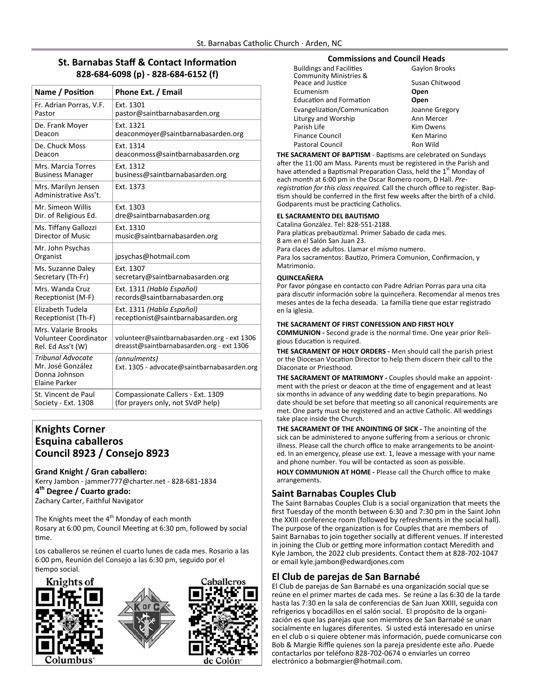## **St. Barnabas Staff & Contact Information 828‐684‐6098 (p) ‐ 828‐684‐6152 (f)**

| Name / Position                                                                        | Phone Ext. / Email                                                                       |
|----------------------------------------------------------------------------------------|------------------------------------------------------------------------------------------|
| Fr. Adrian Porras, V.F.                                                                | Ext. 1301                                                                                |
| Pastor                                                                                 | pastor@saintbarnabasarden.org                                                            |
| De. Frank Moyer                                                                        | Ext. 1321                                                                                |
| Deacon                                                                                 | deaconmoyer@saintbarnabasarden.org                                                       |
| De. Chuck Moss                                                                         | Ext. 1314                                                                                |
| Deacon                                                                                 | deaconmoss@saintbarnabasarden.org                                                        |
| Mrs. Marcia Torres                                                                     | Ext. 1312                                                                                |
| <b>Business Manager</b>                                                                | business@saintbarnabasarden.org                                                          |
| Mrs. Marilyn Jensen<br>Administrative Ass't.                                           | Ext. 1373                                                                                |
| Mr. Simeon Willis                                                                      | Ext. 1303                                                                                |
| Dir. of Religious Ed.                                                                  | dre@saintbarnabasarden.org                                                               |
| Ms. Tiffany Gallozzi                                                                   | Ext. 1310                                                                                |
| Director of Music                                                                      | music@saintbarnabasarden.org                                                             |
| Mr. John Psychas<br>Organist                                                           | jpsychas@hotmail.com                                                                     |
| Ms. Suzanne Daley                                                                      | Ext. 1307                                                                                |
| Secretary (Th-Fr)                                                                      | secretary@saintbarnabasarden.org                                                         |
| Mrs. Wanda Cruz                                                                        | Ext. 1311 (Habla Español)                                                                |
| Receptionist (M-F)                                                                     | records@saintbarnabasarden.org                                                           |
| Elizabeth Tudela                                                                       | Ext. 1311 (Habla Español)                                                                |
| Receptionist (Th-F)                                                                    | receptionist@saintbarnabasarden.org                                                      |
| Mrs. Valarie Brooks<br><b>Volunteer Coordinator</b><br>Rel. Ed Ass't (W)               | volunteer@saintbarnabasarden.org - ext 1306<br>dreasst@saintbarnabasarden.org - ext 1306 |
| <b>Tribunal Advocate</b><br>Mr. José González<br>Donna Johnson<br><b>Elaine Parker</b> | (annulments)<br>Ext. 1305 - advocate@saintbarnabasarden.org                              |
| St. Vincent de Paul                                                                    | Compassionate Callers - Ext. 1309                                                        |
| Society - Ext. 1308                                                                    | (for prayers only, not SVdP help)                                                        |

#### **Knights Corner Esquina caballeros Council 8923 / Consejo 8923**

**Grand Knight / Gran caballero:**  Kerry Jambon ‐ jammer777@charter.net ‐ 828‐681‐1834 **4th Degree / Cuarto grado:**  Zachary Carter, Faithful Navigator

The Knights meet the  $4<sup>th</sup>$  Monday of each month Rosary at 6:00 pm, Council Meeting at 6:30 pm, followed by social Ɵme.

Los caballeros se reúnen el cuarto lunes de cada mes. Rosario a las 6:00 pm, Reunión del Consejo a las 6:30 pm, seguido por el tiempo social.







#### **Commissions and Council Heads**

| <b>Buildings and Facilities</b>   | Gaylon Brooks  |  |  |
|-----------------------------------|----------------|--|--|
| <b>Community Ministries &amp;</b> |                |  |  |
| Peace and Justice                 | Susan Chitwood |  |  |
| Ecumenism                         | Open           |  |  |
| <b>Education and Formation</b>    | Open           |  |  |
| Evangelization/Communication      | Joanne Gregory |  |  |
| Liturgy and Worship               | Ann Mercer     |  |  |
| Parish Life                       | Kim Owens      |  |  |
| <b>Finance Council</b>            | Ken Marino     |  |  |
| <b>Pastoral Council</b>           | Ron Wild       |  |  |

THE SACRAMENT OF BAPTISM - Baptisms are celebrated on Sundays after the 11:00 am Mass. Parents must be registered in the Parish and have attended a Baptismal Preparation Class, held the 1<sup>st</sup> Monday of each month at 6:00 pm in the Oscar Romero room, D Hall. *Pre‐* registration for this class required. Call the church office to register. Baptism should be conferred in the first few weeks after the birth of a child. Godparents must be practicing Catholics.

#### **EL SACRAMENTO DEL BAUTISMO**

Catalina González. Tel: 828‐551‐2188. Para platícas prebautízmal. Primer Sabado de cada mes. 8 am en el Salón San Juan 23. Para claces de adultos. Llamar el mísmo numero. Para los sacramentos: Bautízo, Primera Comunion, Confirmacíon, y Matrimonio.

#### **QUINCEAÑERA**

Por favor póngase en contacto con Padre Adrian Porras para una cita para discutir información sobre la quinceñera. Recomendar al menos tres meses antes de la fecha deseada. La familia tiene que estar registrado en la iglesia.

#### **THE SACRAMENT OF FIRST CONFESSION AND FIRST HOLY**

**COMMUNION ‐** Second grade is the normal Ɵme. One year prior Reli‐ gious Education is required.

**THE SACRAMENT OF HOLY ORDERS ‐** Men should call the parish priest or the Diocesan Vocation Director to help them discern their call to the Diaconate or Priesthood.

**THE SACRAMENT OF MATRIMONY ‐** Couples should make an appoint‐ ment with the priest or deacon at the time of engagement and at least six months in advance of any wedding date to begin preparations. No date should be set before that meeting so all canonical requirements are met. One party must be registered and an active Catholic. All weddings take place inside the Church.

**THE SACRAMENT OF THE ANOINTING OF SICK - The anointing of the** sick can be administered to anyone suffering from a serious or chronic illness. Please call the church office to make arrangements to be anoint‐ ed. In an emergency, please use ext. 1, leave a message with your name and phone number. You will be contacted as soon as possible.

**HOLY COMMUNION AT HOME ‐** Please call the Church office to make arrangements.

#### **Saint Barnabas Couples Club**

The Saint Barnabas Couples Club is a social organization that meets the first Tuesday of the month between 6:30 and 7:30 pm in the Saint John the XXIII conference room (followed by refreshments in the social hall). The purpose of the organization is for Couples that are members of Saint Barnabas to join together socially at different venues. If interested in joining the Club or getting more information contact Meredith and Kyle Jambon, the 2022 club presidents. Contact them at 828‐702‐1047 or email kyle.jambon@edwardjones.com

#### **El Club de parejas de San Barnabé**

El Club de parejas de San Barnabé es una organización social que se reúne en el primer martes de cada mes. Se reúne a las 6:30 de la tarde hasta las 7:30 en la sala de conferencias de San Juan XXIII, seguida con refrigerios y bocadillos en el salón social. El propósito de la organi‐ zación es que las parejas que son miembros de San Barnabé se unan socialmente en lugares diferentes. Si usted está interesado en unirse en el club o si quiere obtener más información, puede comunicarse con Bob & Margie Riffle quienes son la pareja presidente este año. Puede contactarlos por teléfono 828‐702‐0674 o enviarles un correo electrónico a bobmargier@hotmail.com.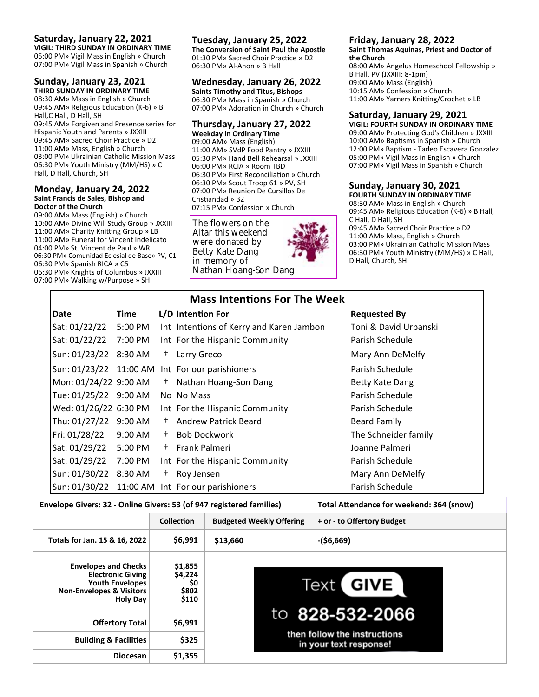#### **Saturday, January 22, 2021**

**VIGIL: THIRD SUNDAY IN ORDINARY TIME**  05:00 PM» Vigil Mass in English » Church 07:00 PM» Vigil Mass in Spanish » Church

## **Sunday, January 23, 2021**

**THIRD SUNDAY IN ORDINARY TIME**  08:30 AM» Mass in English » Church 09:45 AM» Religious Education (K-6) » B Hall,C Hall, D Hall, SH 09:45 AM» Forgiven and Presence series for Hispanic Youth and Parents » JXXIII 09:45 AM» Sacred Choir Practice » D2 11:00 AM» Mass, English » Church 03:00 PM» Ukrainian Catholic Mission Mass 06:30 PM» Youth Ministry (MM/HS) » C Hall, D Hall, Church, SH

#### **Monday, January 24, 2022 Saint Francis de Sales, Bishop and Doctor of the Church**

09:00 AM» Mass (English) » Church 10:00 AM» Divine Will Study Group » JXXIII 11:00 AM» Charity Knitting Group » LB 11:00 AM» Funeral for Vincent Indelicato 04:00 PM» St. Vincent de Paul » WR 06:30 PM» Comunidad Eclesial de Base» PV, C1 06:30 PM» Spanish RICA » C5 06:30 PM» Knights of Columbus » JXXIII 07:00 PM» Walking w/Purpose » SH

#### **Tuesday, January 25, 2022**

**The Conversion of Saint Paul the Apostle**  01:30 PM» Sacred Choir Practice » D2 06:30 PM» Al‐Anon » B Hall

#### **Wednesday, January 26, 2022**

**Saints Timothy and Titus, Bishops**  06:30 PM» Mass in Spanish » Church 07:00 PM» Adoration in Church » Church

#### **Thursday, January 27, 2022 Weekday in Ordinary Time**

09:00 AM» Mass (English) 11:00 AM» SVdP Food Pantry » JXXIII 05:30 PM» Hand Bell Rehearsal » JXXIII 06:00 PM» RCIA » Room TBD 06:30 PM» First Reconciliation » Church 06:30 PM» Scout Troop 61 » PV, SH 07:00 PM» Reunion De Cursillos De Cristiandad » B2 07:15 PM» Confession » Church

The flowers on the Altar this weekend were donated by Betty Kate Dang in memory of Nathan Hoang-Son Dang

#### **Friday, January 28, 2022**

**Saint Thomas Aquinas, Priest and Doctor of the Church**  08:00 AM» Angelus Homeschool Fellowship »

B Hall, PV (JXXIII: 8‐1pm) 09:00 AM» Mass (English) 10:15 AM» Confession » Church 11:00 AM» Yarners Knitting/Crochet » LB

#### **Saturday, January 29, 2021**

**VIGIL: FOURTH SUNDAY IN ORDINARY TIME**  09:00 AM» Protecting God's Children » JXXIII 10:00 AM» Baptisms in Spanish » Church 12:00 PM» Baptism - Tadeo Escavera Gonzalez 05:00 PM» Vigil Mass in English » Church 07:00 PM» Vigil Mass in Spanish » Church

## **Sunday, January 30, 2021**

**FOURTH SUNDAY IN ORDINARY TIME**  08:30 AM» Mass in English » Church 09:45 AM» Religious Education (K-6) » B Hall, C Hall, D Hall, SH 09:45 AM» Sacred Choir Practice » D2 11:00 AM» Mass, English » Church 03:00 PM» Ukrainian Catholic Mission Mass 06:30 PM» Youth Ministry (MM/HS) » C Hall, D Hall, Church, SH

|  | <b>Mass Intentions For The Week</b> |  |  |
|--|-------------------------------------|--|--|
|  |                                     |  |  |

| <b>Date</b>            | <b>Time</b> |      | L/D Intention For                        | <b>Requested By</b>    |
|------------------------|-------------|------|------------------------------------------|------------------------|
| Sat: 01/22/22          | 5:00 PM     |      | Int Intentions of Kerry and Karen Jambon | Toni & David Urbanski  |
| Sat: 01/22/22          | 7:00 PM     |      | Int For the Hispanic Community           | Parish Schedule        |
| Sun: 01/23/22 8:30 AM  |             | $^+$ | Larry Greco                              | Mary Ann DeMelfy       |
| Sun: 01/23/22 11:00 AM |             |      | Int For our parishioners                 | Parish Schedule        |
| Mon: 01/24/22 9:00 AM  |             | $^+$ | Nathan Hoang-Son Dang                    | <b>Betty Kate Dang</b> |
| Tue: 01/25/22 9:00 AM  |             |      | No No Mass                               | Parish Schedule        |
| Wed: 01/26/22 6:30 PM  |             |      | Int For the Hispanic Community           | Parish Schedule        |
| Thu: 01/27/22 9:00 AM  |             | $^+$ | <b>Andrew Patrick Beard</b>              | <b>Beard Family</b>    |
| Fri: 01/28/22          | 9:00 AM     | $^+$ | <b>Bob Dockwork</b>                      | The Schneider family   |
| Sat: 01/29/22          | 5:00 PM     | $^+$ | Frank Palmeri                            | Joanne Palmeri         |
| Sat: 01/29/22          | 7:00 PM     |      | Int For the Hispanic Community           | Parish Schedule        |
| Sun: 01/30/22 8:30 AM  |             | Ť.   | Roy Jensen                               | Mary Ann DeMelfy       |
| Sun: 01/30/22 11:00 AM |             |      | Int For our parishioners                 | Parish Schedule        |

**Envelope Givers: 32 ‐ Online Givers: 53 (of 947 registered families) Total AƩendance for weekend: 364 (snow)**

|                                                                                                                                             | <b>Collection</b>                           | <b>Budgeted Weekly Offering</b> | + or - to Offertory Budget                             |
|---------------------------------------------------------------------------------------------------------------------------------------------|---------------------------------------------|---------------------------------|--------------------------------------------------------|
| Totals for Jan. 15 & 16, 2022                                                                                                               | \$6,991                                     | \$13,660                        | $-($6,669)$                                            |
| <b>Envelopes and Checks</b><br><b>Electronic Giving</b><br><b>Youth Envelopes</b><br><b>Non-Envelopes &amp; Visitors</b><br><b>Holy Day</b> | \$1,855<br>\$4,224<br>\$0<br>\$802<br>\$110 |                                 | <b>GIVE</b><br>Text<br>to 828-532-2066                 |
| <b>Offertory Total</b>                                                                                                                      | \$6,991                                     |                                 |                                                        |
| <b>Building &amp; Facilities</b>                                                                                                            | \$325                                       |                                 | then follow the instructions<br>in your text response! |
| <b>Diocesan</b>                                                                                                                             | \$1,355                                     |                                 |                                                        |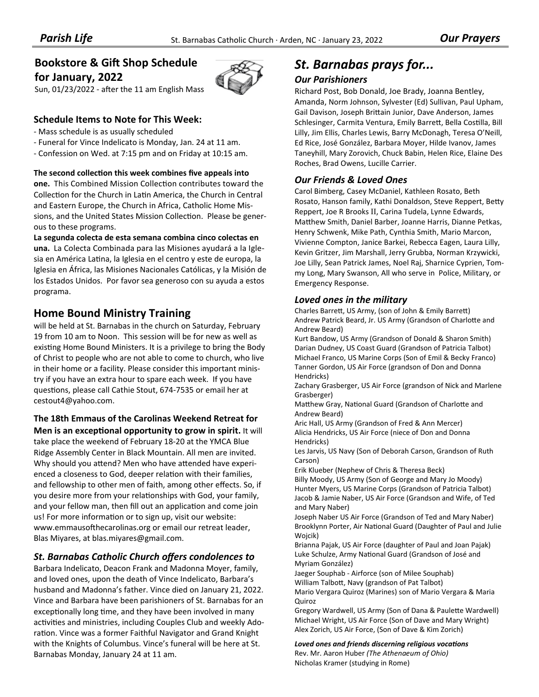## **Bookstore & Gift Shop Schedule for January, 2022**

Sun, 01/23/2022 - after the 11 am English Mass

#### **Schedule Items to Note for This Week:**

- ‐ Mass schedule is as usually scheduled
- ‐ Funeral for Vince Indelicato is Monday, Jan. 24 at 11 am.
- ‐ Confession on Wed. at 7:15 pm and on Friday at 10:15 am.

#### **The second collecƟon this week combines five appeals into**

**one.** This Combined Mission Collection contributes toward the Collection for the Church in Latin America, the Church in Central and Eastern Europe, the Church in Africa, Catholic Home Mis‐ sions, and the United States Mission Collection. Please be generous to these programs.

**La segunda colecta de esta semana combina cinco colectas en una.** La Colecta Combinada para las Misiones ayudará a la Igle‐ sia en América Latina, la Iglesia en el centro y este de europa, la Iglesia en África, las Misiones Nacionales Católicas, y la Misión de los Estados Unidos. Por favor sea generoso con su ayuda a estos programa.

## **Home Bound Ministry Training**

will be held at St. Barnabas in the church on Saturday, February 19 from 10 am to Noon. This session will be for new as well as existing Home Bound Ministers. It is a privilege to bring the Body of Christ to people who are not able to come to church, who live in their home or a facility. Please consider this important minis‐ try if you have an extra hour to spare each week. If you have questions, please call Cathie Stout, 674-7535 or email her at cestout4@yahoo.com.

**The 18th Emmaus of the Carolinas Weekend Retreat for** 

**Men is an exceptional opportunity to grow in spirit.** It will take place the weekend of February 18‐20 at the YMCA Blue Ridge Assembly Center in Black Mountain. All men are invited. Why should you attend? Men who have attended have experienced a closeness to God, deeper relation with their families, and fellowship to other men of faith, among other effects. So, if you desire more from your relationships with God, your family, and your fellow man, then fill out an application and come join us! For more information or to sign up, visit our website: www.emmausofthecarolinas.org or email our retreat leader, Blas Miyares, at blas.miyares@gmail.com.

#### *St. Barnabas Catholic Church offers condolences to*

Barbara Indelicato, Deacon Frank and Madonna Moyer, family, and loved ones, upon the death of Vince Indelicato, Barbara's husband and Madonna's father. Vince died on January 21, 2022. Vince and Barbara have been parishioners of St. Barnabas for an exceptionally long time, and they have been involved in many activities and ministries, including Couples Club and weekly Adoration. Vince was a former Faithful Navigator and Grand Knight with the Knights of Columbus. Vince's funeral will be here at St. Barnabas Monday, January 24 at 11 am.

## *St. Barnabas prays for...*

#### *Our Parishioners*

Richard Post, Bob Donald, Joe Brady, Joanna Bentley, Amanda, Norm Johnson, Sylvester (Ed) Sullivan, Paul Upham, Gail Davison, Joseph Brittain Junior, Dave Anderson, James Schlesinger, Carmita Ventura, Emily Barrett, Bella Costilla, Bill Lilly, Jim Ellis, Charles Lewis, Barry McDonagh, Teresa O'Neill, Ed Rice, José González, Barbara Moyer, Hilde Ivanov, James Taneyhill, Mary Zorovich, Chuck Babin, Helen Rice, Elaine Des Roches, Brad Owens, Lucille Carrier.

#### *Our Friends & Loved Ones*

Carol Bimberg, Casey McDaniel, Kathleen Rosato, Beth Rosato, Hanson family, Kathi Donaldson, Steve Reppert, Betty Reppert, Joe R Brooks II, Carina Tudela, Lynne Edwards, Matthew Smith, Daniel Barber, Joanne Harris, Dianne Petkas, Henry Schwenk, Mike Path, Cynthia Smith, Mario Marcon, Vivienne Compton, Janice Barkei, Rebecca Eagen, Laura Lilly, Kevin Gritzer, Jim Marshall, Jerry Grubba, Norman Krzywicki, Joe Lilly, Sean Patrick James, Noel Raj, Sharnice Cyprien, Tom‐ my Long, Mary Swanson, All who serve in Police, Military, or Emergency Response.

#### *Loved ones in the military*

Charles Barrett, US Army, (son of John & Emily Barrett) Andrew Patrick Beard, Jr. US Army (Grandson of Charlotte and Andrew Beard)

Kurt Bandow, US Army (Grandson of Donald & Sharon Smith) Darian Dudney, US Coast Guard (Grandson of Patricia Talbot) Michael Franco, US Marine Corps (Son of Emil & Becky Franco) Tanner Gordon, US Air Force (grandson of Don and Donna Hendricks)

Zachary Grasberger, US Air Force (grandson of Nick and Marlene Grasberger)

Matthew Gray, National Guard (Grandson of Charlotte and Andrew Beard)

Aric Hall, US Army (Grandson of Fred & Ann Mercer) Alicia Hendricks, US Air Force (niece of Don and Donna Hendricks)

Les Jarvis, US Navy (Son of Deborah Carson, Grandson of Ruth Carson)

Erik Klueber (Nephew of Chris & Theresa Beck) Billy Moody, US Army (Son of George and Mary Jo Moody) Hunter Myers, US Marine Corps (Grandson of Patricia Talbot) Jacob & Jamie Naber, US Air Force (Grandson and Wife, of Ted and Mary Naber)

Joseph Naber US Air Force (Grandson of Ted and Mary Naber) Brooklynn Porter, Air National Guard (Daughter of Paul and Julie Wojcik)

Brianna Pajak, US Air Force (daughter of Paul and Joan Pajak) Luke Schulze, Army National Guard (Grandson of José and Myriam González)

Jaeger Souphab ‐ Airforce (son of Milee Souphab) William Talbott, Navy (grandson of Pat Talbot) Mario Vergara Quiroz (Marines) son of Mario Vergara & Maria Quiroz

Gregory Wardwell, US Army (Son of Dana & Paulette Wardwell) Michael Wright, US Air Force (Son of Dave and Mary Wright) Alex Zorich, US Air Force, (Son of Dave & Kim Zorich)

*Loved ones and friends discerning religious vocaƟons* Rev. Mr. Aaron Huber *(The Athenaeum of Ohio)*  Nicholas Kramer (studying in Rome)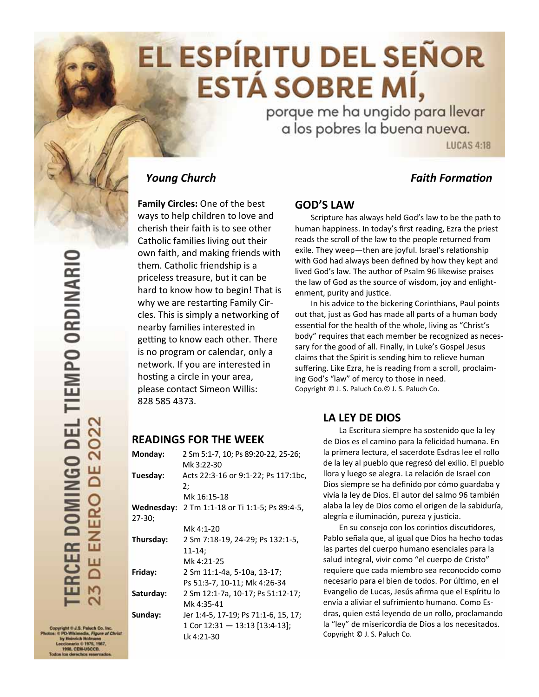# EL ESPÍRITU DEL SEÑOR **ESTÁ SOBRE MÍ,**

porque me ha ungido para llevar a los pobres la buena nueva.

**LUCAS 4:18** 

## *Young Church Faith FormaƟon*

**Family Circles:** One of the best ways to help children to love and cherish their faith is to see other Catholic families living out their own faith, and making friends with them. Catholic friendship is a priceless treasure, but it can be hard to know how to begin! That is why we are restarting Family Circles. This is simply a networking of nearby families interested in getting to know each other. There is no program or calendar, only a network. If you are interested in hosting a circle in your area, please contact Simeon Willis: 828 585 4373.

#### **GOD'S LAW**

 Scripture has always held God's law to be the path to human happiness. In today's first reading, Ezra the priest reads the scroll of the law to the people returned from exile. They weep—then are joyful. Israel's relationship with God had always been defined by how they kept and lived God's law. The author of Psalm 96 likewise praises the law of God as the source of wisdom, joy and enlight‐ enment, purity and justice.

 In his advice to the bickering Corinthians, Paul points out that, just as God has made all parts of a human body essential for the health of the whole, living as "Christ's body" requires that each member be recognized as neces‐ sary for the good of all. Finally, in Luke's Gospel Jesus claims that the Spirit is sending him to relieve human suffering. Like Ezra, he is reading from a scroll, proclaim‐ ing God's "law" of mercy to those in need. Copyright © J. S. Paluch Co.© J. S. Paluch Co.

## **LA LEY DE DIOS**

La Escritura siempre ha sostenido que la ley de Dios es el camino para la felicidad humana. En la primera lectura, el sacerdote Esdras lee el rollo de la ley al pueblo que regresó del exilio. El pueblo llora y luego se alegra. La relación de Israel con Dios siempre se ha definido por cómo guardaba y vivía la ley de Dios. El autor del salmo 96 también alaba la ley de Dios como el origen de la sabiduría, alegría e iluminación, pureza y justicia.

En su consejo con los corintios discutidores, Pablo señala que, al igual que Dios ha hecho todas las partes del cuerpo humano esenciales para la salud integral, vivir como "el cuerpo de Cristo" requiere que cada miembro sea reconocido como necesario para el bien de todos. Por último, en el Evangelio de Lucas, Jesús afirma que el Espíritu lo envía a aliviar el sufrimiento humano. Como Es‐ dras, quien está leyendo de un rollo, proclamando la "ley" de misericordia de Dios a los necesitados. Copyright © J. S. Paluch Co.

 $str \otimes J \otimes P_M$ inh Co. In 1998, CEM-USCOR

## **READINGS FOR THE WEEK**

| Monday:    | 2 Sm 5:1-7, 10; Ps 89:20-22, 25-26;  |
|------------|--------------------------------------|
|            | Mk 3:22-30                           |
| Tuesday:   | Acts 22:3-16 or 9:1-22; Ps 117:1bc,  |
|            | 2:                                   |
|            | Mk 16:15-18                          |
| Wednesday: | 2 Tm 1:1-18 or Ti 1:1-5; Ps 89:4-5,  |
| $27-30;$   |                                      |
|            | Mk 4:1-20                            |
| Thursday:  | 2 Sm 7:18-19, 24-29; Ps 132:1-5,     |
|            | $11 - 14$ :                          |
|            | Mk 4:21-25                           |
| Friday:    | 2 Sm 11:1-4a, 5-10a, 13-17;          |
|            | Ps 51:3-7, 10-11; Mk 4:26-34         |
| Saturday:  | 2 Sm 12:1-7a, 10-17; Ps 51:12-17;    |
|            | Mk 4:35-41                           |
| Sunday:    | Jer 1:4-5, 17-19; Ps 71:1-6, 15, 17; |
|            | 1 Cor $12:31 - 13:13$ [13:4-13];     |
|            | Lk 4:21-30                           |
|            |                                      |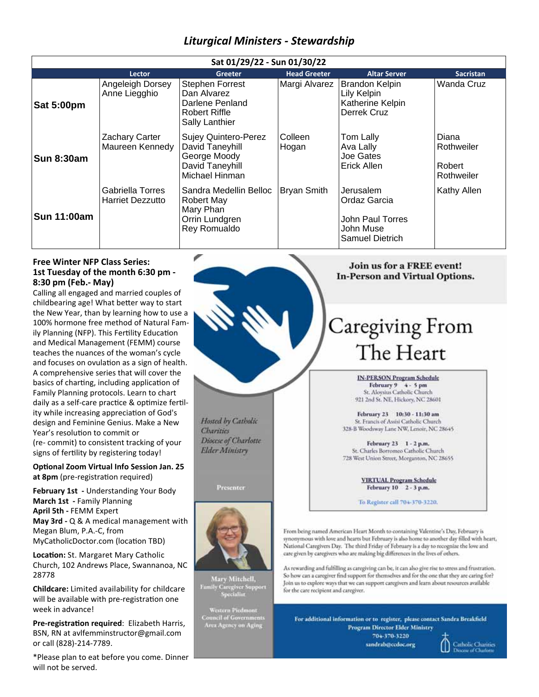## *Liturgical Ministers ‐ Stewardship*

| Sat 01/29/22 - Sun 01/30/22 |                                             |                                                                                                     |                     |                                                                                      |                                             |
|-----------------------------|---------------------------------------------|-----------------------------------------------------------------------------------------------------|---------------------|--------------------------------------------------------------------------------------|---------------------------------------------|
|                             | Lector                                      | <b>Greeter</b>                                                                                      | <b>Head Greeter</b> | <b>Altar Server</b>                                                                  | <b>Sacristan</b>                            |
| <b>Sat 5:00pm</b>           | Angeleigh Dorsey<br>Anne Liegghio           | <b>Stephen Forrest</b><br>Dan Alvarez<br>Darlene Penland<br>Robert Riffle<br>Sally Lanthier         | Margi Alvarez       | Brandon Kelpin<br>Lily Kelpin<br>Katherine Kelpin<br>Derrek Cruz                     | Wanda Cruz                                  |
| <b>Sun 8:30am</b>           | Zachary Carter<br>Maureen Kennedy           | <b>Sujey Quintero-Perez</b><br>David Taneyhill<br>George Moody<br>David Taneyhill<br>Michael Hinman | Colleen<br>Hogan    | Tom Lally<br>Ava Lally<br>Joe Gates<br>Erick Allen                                   | Diana<br>Rothweiler<br>Robert<br>Rothweiler |
| <b>Sun 11:00am</b>          | Gabriella Torres<br><b>Harriet Dezzutto</b> | Sandra Medellin Belloc<br><b>Robert May</b><br>Mary Phan<br>Orrin Lundgren<br>Rey Romualdo          | <b>Bryan Smith</b>  | Jerusalem<br>Ordaz Garcia<br>John Paul Torres<br>John Muse<br><b>Samuel Dietrich</b> | Kathy Allen                                 |

#### **Free Winter NFP Class Series: 1st Tuesday of the month 6:30 pm ‐ 8:30 pm (Feb.‐ May)**

Calling all engaged and married couples of childbearing age! What better way to start the New Year, than by learning how to use a 100% hormone free method of Natural Fam‐ ily Planning (NFP). This Fertility Education and Medical Management (FEMM) course teaches the nuances of the woman's cycle and focuses on ovulation as a sign of health. A comprehensive series that will cover the basics of charting, including application of Family Planning protocols. Learn to chart daily as a self-care practice & optimize fertility while increasing appreciation of God's design and Feminine Genius. Make a New Year's resolution to commit or (re‐ commit) to consistent tracking of your signs of fertility by registering today!

**OpƟonal Zoom Virtual Info Session Jan. 25**  at 8pm (pre-registration required)

**February 1st ‐** Understanding Your Body **March 1st ‐** Family Planning **April 5th ‐** FEMM Expert **May 3rd ‐** Q & A medical management with Megan Blum, P.A.‐C, from MyCatholicDoctor.com (location TBD)

**LocaƟon:** St. Margaret Mary Catholic Church, 102 Andrews Place, Swannanoa, NC 28778

**Childcare:** Limited availability for childcare will be available with pre-registration one week in advance!

**Pre‐registraƟon required**: Elizabeth Harris, BSN, RN at avlfemminstructor@gmail.com or call (828)‐214‐7789.

\*Please plan to eat before you come. Dinner will not be served.

Hosted by Catholic Charities Diocese of Charlotte **Elder Ministry** 

Presenter



Mary Mitchell, Family Caregiver Support<br>Specialist

-<br>Council of Governments<br>Area Agency on Aging

#### Join us for a FREE event! **In-Person and Virtual Options.**

# Caregiving From The Heart

**IN-PERSON Program Schedule** February 9 4 - 5 pm<br>St. Aloysius Catholic Church 921 2nd St. NE, Hickory, NC 28601

February 23 10:30 - 11:30 am St. Francis of Assisi Catholic Church 328-B Woodsway Lane NW, Lenoir, NC 28645

February 23 1 - 2 p.m. St. Charles Borromeo Catholic Church 728 West Union Street, Morganton, NC 28655

> **VIRTUAL Program Schedule** February 10 2 - 3 p.m.

To Register call 704-370-3220.

From being named American Heart Month to containing Valentine's Day, February is synonymous with love and hearts but February is also home to another day filled with heart, National Caregivers Day. The third Friday of February is a day to recognize the love and care given by caregivers who are making big differences in the lives of others.

As rewarding and fulfilling as caregiving can be, it can also give rise to stress and frustration. So how can a caregiver find support for themselves and for the one that they are caring for? Join us to explore ways that we can support caregivers and learn about resources available for the care recipient and caregiver.

For additional information or to register, please contact Sandra Breakfield **Program Director Elder Ministry** 

704-370-3220 sandrab@ccdoc.org